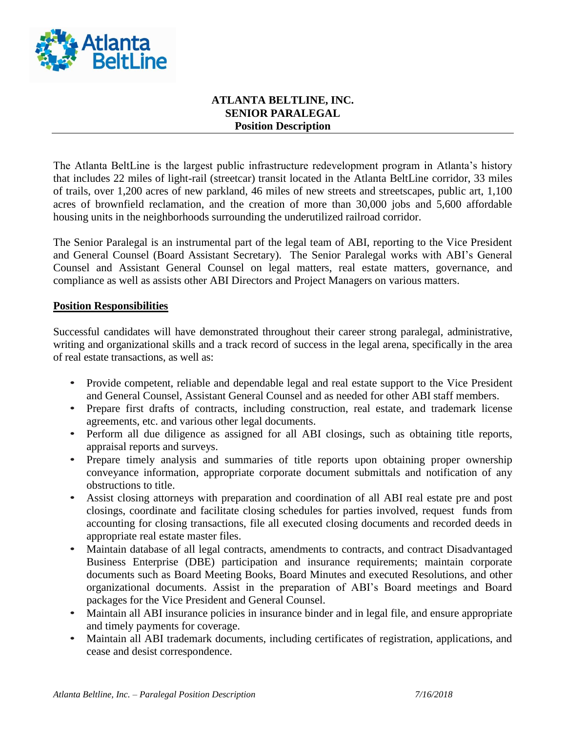

## **ATLANTA BELTLINE, INC. SENIOR PARALEGAL Position Description**

The Atlanta BeltLine is the largest public infrastructure redevelopment program in Atlanta's history that includes 22 miles of light-rail (streetcar) transit located in the Atlanta BeltLine corridor, 33 miles of trails, over 1,200 acres of new parkland, 46 miles of new streets and streetscapes, public art, 1,100 acres of brownfield reclamation, and the creation of more than 30,000 jobs and 5,600 affordable housing units in the neighborhoods surrounding the underutilized railroad corridor.

The Senior Paralegal is an instrumental part of the legal team of ABI, reporting to the Vice President and General Counsel (Board Assistant Secretary). The Senior Paralegal works with ABI's General Counsel and Assistant General Counsel on legal matters, real estate matters, governance, and compliance as well as assists other ABI Directors and Project Managers on various matters.

## **Position Responsibilities**

Successful candidates will have demonstrated throughout their career strong paralegal, administrative, writing and organizational skills and a track record of success in the legal arena, specifically in the area of real estate transactions, as well as:

- Provide competent, reliable and dependable legal and real estate support to the Vice President and General Counsel, Assistant General Counsel and as needed for other ABI staff members.
- Prepare first drafts of contracts, including construction, real estate, and trademark license agreements, etc. and various other legal documents.
- Perform all due diligence as assigned for all ABI closings, such as obtaining title reports, appraisal reports and surveys.
- Prepare timely analysis and summaries of title reports upon obtaining proper ownership conveyance information, appropriate corporate document submittals and notification of any obstructions to title.
- Assist closing attorneys with preparation and coordination of all ABI real estate pre and post closings, coordinate and facilitate closing schedules for parties involved, request funds from accounting for closing transactions, file all executed closing documents and recorded deeds in appropriate real estate master files.
- Maintain database of all legal contracts, amendments to contracts, and contract Disadvantaged Business Enterprise (DBE) participation and insurance requirements; maintain corporate documents such as Board Meeting Books, Board Minutes and executed Resolutions, and other organizational documents. Assist in the preparation of ABI's Board meetings and Board packages for the Vice President and General Counsel.
- Maintain all ABI insurance policies in insurance binder and in legal file, and ensure appropriate and timely payments for coverage.
- Maintain all ABI trademark documents, including certificates of registration, applications, and cease and desist correspondence.